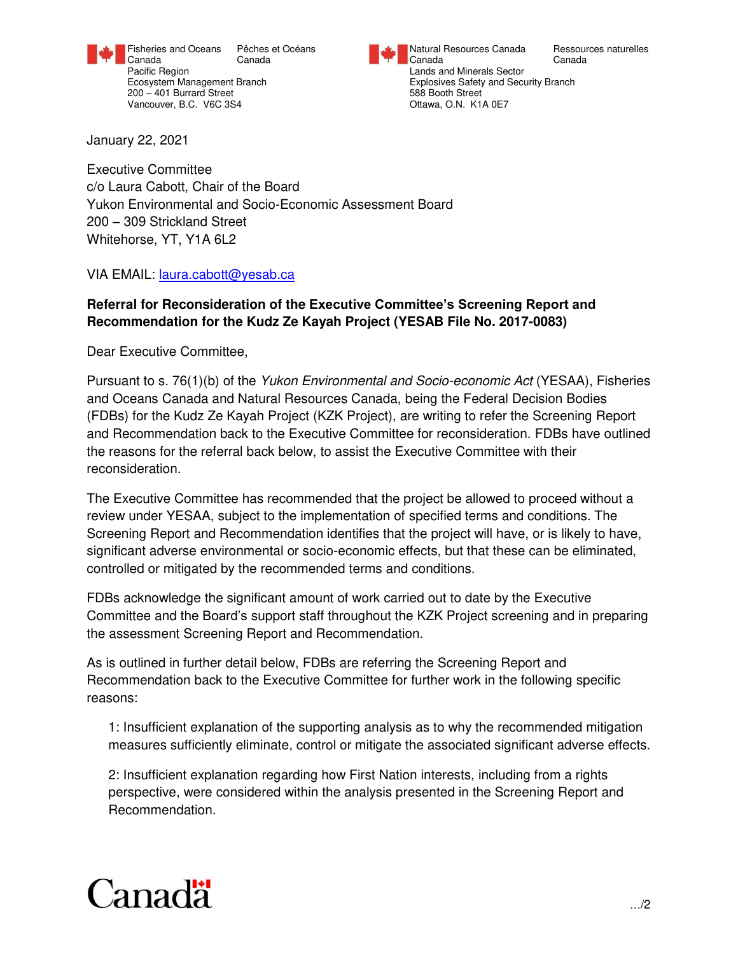

200 – 401 Burrard Street 1988 Booth Street 588 Booth Street 588 Booth Street 1<br>
200 – 401 Burrard Street 1988 Street 1988 Street 1988 Booth Street 1988 Street 1988 Street 1988 Street 1988 S Vancouver, B.C. V6C 3S4

Fisheries and Oceans Pêches et Océans Natural Resources Canada Ressources naturelles<br>Canada Canada Canada Canada Resources Canada Canada Canada Canada Canada Canada Pacific Region **Pacific Region** Lands and Minerals Sector Ecosystem Management Branch explosives Safety and Security Branch explosives Safety and Security Branch<br>
200 – 401 Burrard Street

January 22, 2021

Executive Committee c/o Laura Cabott, Chair of the Board Yukon Environmental and Socio-Economic Assessment Board 200 – 309 Strickland Street Whitehorse, YT, Y1A 6L2

VIA EMAIL: [laura.cabott@yesab.ca](https://gcdocs.intra.pri/contentserverinacproductiondav/nodes/39616870/mailto_laura.cabott%40yesab.ca) 

# **Referral for Reconsideration of the Executive Committee's Screening Report and Recommendation for the Kudz Ze Kayah Project (YESAB File No. 2017-0083)**

Dear Executive Committee,

Pursuant to s. 76(1)(b) of the *Yukon Environmental and Socio-economic Act* (YESAA), Fisheries and Oceans Canada and Natural Resources Canada, being the Federal Decision Bodies (FDBs) for the Kudz Ze Kayah Project (KZK Project), are writing to refer the Screening Report and Recommendation back to the Executive Committee for reconsideration. FDBs have outlined the reasons for the referral back below, to assist the Executive Committee with their reconsideration.

The Executive Committee has recommended that the project be allowed to proceed without a review under YESAA, subject to the implementation of specified terms and conditions. The Screening Report and Recommendation identifies that the project will have, or is likely to have, significant adverse environmental or socio-economic effects, but that these can be eliminated, controlled or mitigated by the recommended terms and conditions.

FDBs acknowledge the significant amount of work carried out to date by the Executive Committee and the Board's support staff throughout the KZK Project screening and in preparing the assessment Screening Report and Recommendation.

As is outlined in further detail below, FDBs are referring the Screening Report and Recommendation back to the Executive Committee for further work in the following specific reasons:

1: Insufficient explanation of the supporting analysis as to why the recommended mitigation measures sufficiently eliminate, control or mitigate the associated significant adverse effects.

2: Insufficient explanation regarding how First Nation interests, including from a rights perspective, were considered within the analysis presented in the Screening Report and Recommendation.

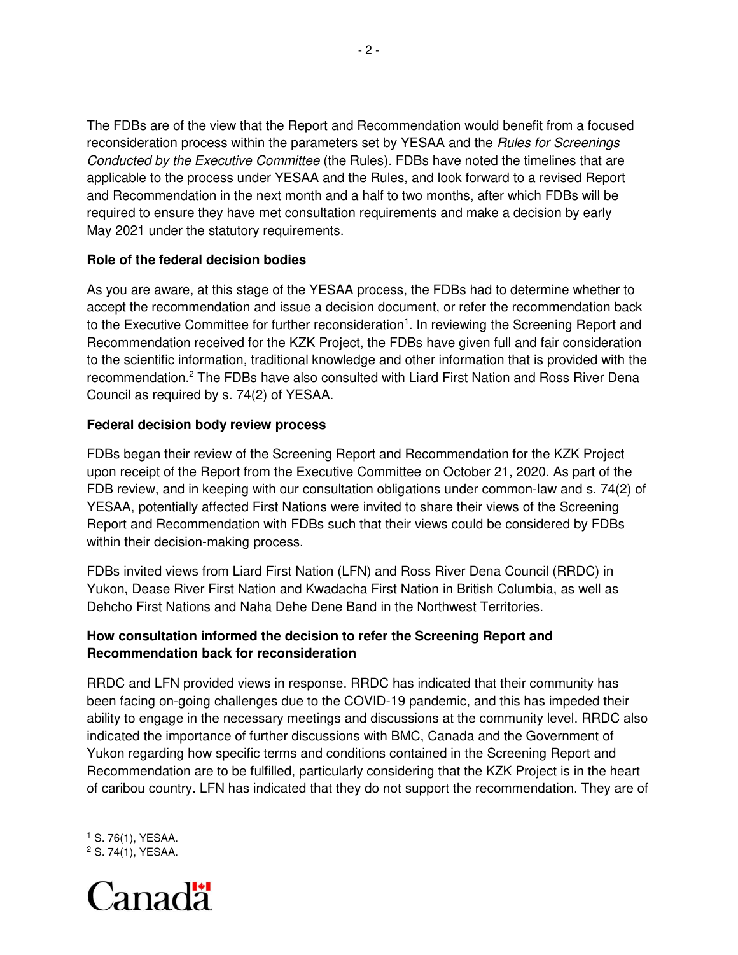The FDBs are of the view that the Report and Recommendation would benefit from a focused reconsideration process within the parameters set by YESAA and the *Rules for Screenings Conducted by the Executive Committee* (the Rules)*.* FDBs have noted the timelines that are applicable to the process under YESAA and the Rules, and look forward to a revised Report and Recommendation in the next month and a half to two months, after which FDBs will be required to ensure they have met consultation requirements and make a decision by early May 2021 under the statutory requirements.

### **Role of the federal decision bodies**

As you are aware, at this stage of the YESAA process, the FDBs had to determine whether to accept the recommendation and issue a decision document, or refer the recommendation back to the Executive Committee for further reconsideration<sup>1</sup>. In reviewing the Screening Report and Recommendation received for the KZK Project, the FDBs have given full and fair consideration to the scientific information, traditional knowledge and other information that is provided with the recommendation.<sup>2</sup> The FDBs have also consulted with Liard First Nation and Ross River Dena Council as required by s. 74(2) of YESAA.

### **Federal decision body review process**

FDBs began their review of the Screening Report and Recommendation for the KZK Project upon receipt of the Report from the Executive Committee on October 21, 2020. As part of the FDB review, and in keeping with our consultation obligations under common-law and s. 74(2) of YESAA, potentially affected First Nations were invited to share their views of the Screening Report and Recommendation with FDBs such that their views could be considered by FDBs within their decision-making process.

FDBs invited views from Liard First Nation (LFN) and Ross River Dena Council (RRDC) in Yukon, Dease River First Nation and Kwadacha First Nation in British Columbia, as well as Dehcho First Nations and Naha Dehe Dene Band in the Northwest Territories.

## **How consultation informed the decision to refer the Screening Report and Recommendation back for reconsideration**

RRDC and LFN provided views in response. RRDC has indicated that their community has been facing on-going challenges due to the COVID-19 pandemic, and this has impeded their ability to engage in the necessary meetings and discussions at the community level. RRDC also indicated the importance of further discussions with BMC, Canada and the Government of Yukon regarding how specific terms and conditions contained in the Screening Report and Recommendation are to be fulfilled, particularly considering that the KZK Project is in the heart of caribou country. LFN has indicated that they do not support the recommendation. They are of

l

<sup>2</sup> S. 74(1), YESAA.



<sup>1</sup> S. 76(1), YESAA.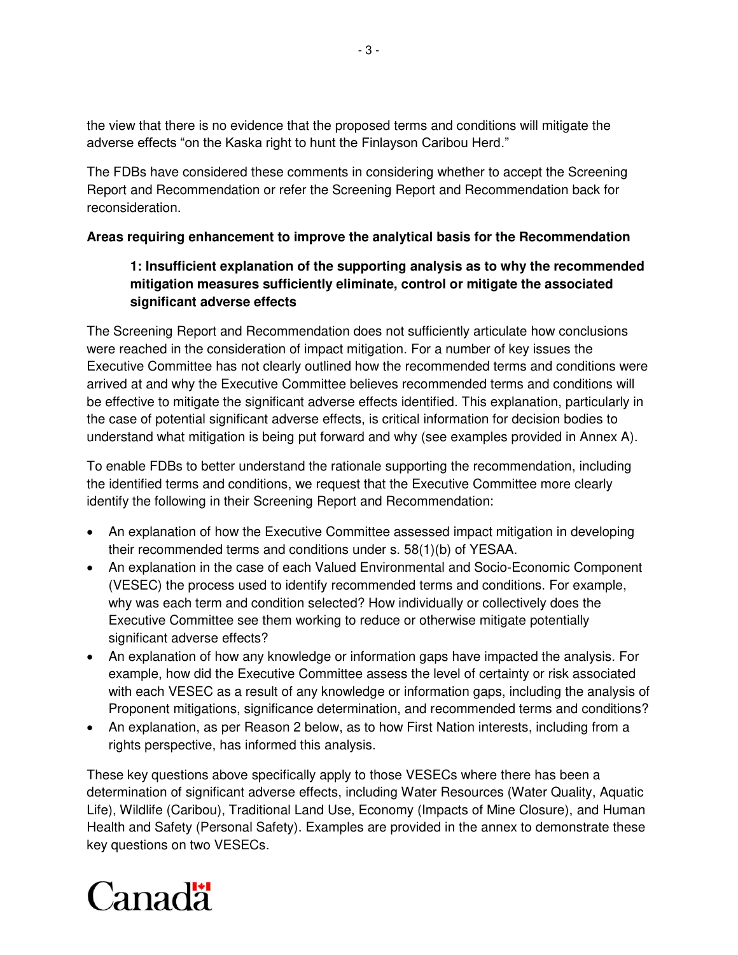the view that there is no evidence that the proposed terms and conditions will mitigate the adverse effects "on the Kaska right to hunt the Finlayson Caribou Herd."

The FDBs have considered these comments in considering whether to accept the Screening Report and Recommendation or refer the Screening Report and Recommendation back for reconsideration.

## **Areas requiring enhancement to improve the analytical basis for the Recommendation**

# **1: Insufficient explanation of the supporting analysis as to why the recommended mitigation measures sufficiently eliminate, control or mitigate the associated significant adverse effects**

The Screening Report and Recommendation does not sufficiently articulate how conclusions were reached in the consideration of impact mitigation. For a number of key issues the Executive Committee has not clearly outlined how the recommended terms and conditions were arrived at and why the Executive Committee believes recommended terms and conditions will be effective to mitigate the significant adverse effects identified. This explanation, particularly in the case of potential significant adverse effects, is critical information for decision bodies to understand what mitigation is being put forward and why (see examples provided in Annex A).

To enable FDBs to better understand the rationale supporting the recommendation, including the identified terms and conditions, we request that the Executive Committee more clearly identify the following in their Screening Report and Recommendation:

- An explanation of how the Executive Committee assessed impact mitigation in developing their recommended terms and conditions under s. 58(1)(b) of YESAA.
- An explanation in the case of each Valued Environmental and Socio-Economic Component (VESEC) the process used to identify recommended terms and conditions. For example, why was each term and condition selected? How individually or collectively does the Executive Committee see them working to reduce or otherwise mitigate potentially significant adverse effects?
- An explanation of how any knowledge or information gaps have impacted the analysis. For example, how did the Executive Committee assess the level of certainty or risk associated with each VESEC as a result of any knowledge or information gaps, including the analysis of Proponent mitigations, significance determination, and recommended terms and conditions?
- An explanation, as per Reason 2 below, as to how First Nation interests, including from a rights perspective, has informed this analysis.

These key questions above specifically apply to those VESECs where there has been a determination of significant adverse effects, including Water Resources (Water Quality, Aquatic Life), Wildlife (Caribou), Traditional Land Use, Economy (Impacts of Mine Closure), and Human Health and Safety (Personal Safety). Examples are provided in the annex to demonstrate these key questions on two VESECs.

# Canadä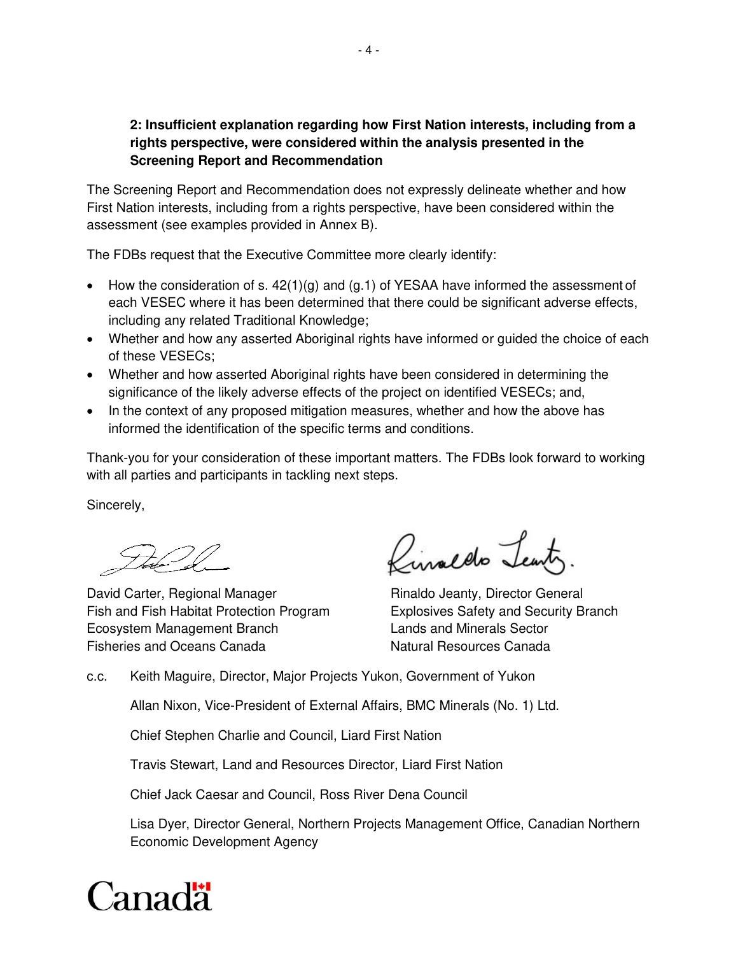## **2: Insufficient explanation regarding how First Nation interests, including from a rights perspective, were considered within the analysis presented in the Screening Report and Recommendation**

The Screening Report and Recommendation does not expressly delineate whether and how First Nation interests, including from a rights perspective, have been considered within the assessment (see examples provided in Annex B).

The FDBs request that the Executive Committee more clearly identify:

- How the consideration of s.  $42(1)(g)$  and  $(g.1)$  of YESAA have informed the assessment of each VESEC where it has been determined that there could be significant adverse effects, including any related Traditional Knowledge;
- Whether and how any asserted Aboriginal rights have informed or guided the choice of each of these VESECs;
- Whether and how asserted Aboriginal rights have been considered in determining the significance of the likely adverse effects of the project on identified VESECs; and,
- In the context of any proposed mitigation measures, whether and how the above has informed the identification of the specific terms and conditions.

Thank-you for your consideration of these important matters. The FDBs look forward to working with all parties and participants in tackling next steps.

Sincerely,

David Carter, Regional Manager Rinaldo Jeanty, Director General Fish and Fish Habitat Protection Program Explosives Safety and Security Branch Ecosystem Management Branch Lands and Minerals Sector Fisheries and Oceans Canada Natural Resources Canada

Rinaldo Teanty

c.c. Keith Maguire, Director, Major Projects Yukon, Government of Yukon

Allan Nixon, Vice-President of External Affairs, BMC Minerals (No. 1) Ltd.

Chief Stephen Charlie and Council, Liard First Nation

Travis Stewart, Land and Resources Director, Liard First Nation

Chief Jack Caesar and Council, Ross River Dena Council

Lisa Dyer, Director General, Northern Projects Management Office, Canadian Northern Economic Development Agency

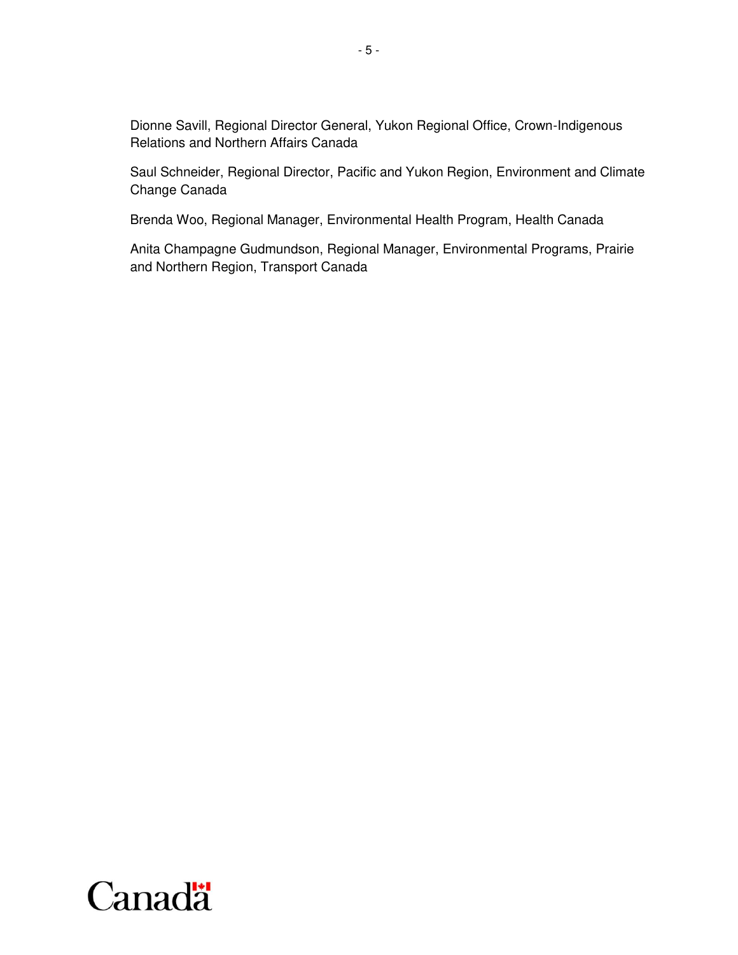Dionne Savill, Regional Director General, Yukon Regional Office, Crown-Indigenous Relations and Northern Affairs Canada

Saul Schneider, Regional Director, Pacific and Yukon Region, Environment and Climate Change Canada

Brenda Woo, Regional Manager, Environmental Health Program, Health Canada

Anita Champagne Gudmundson, Regional Manager, Environmental Programs, Prairie and Northern Region, Transport Canada

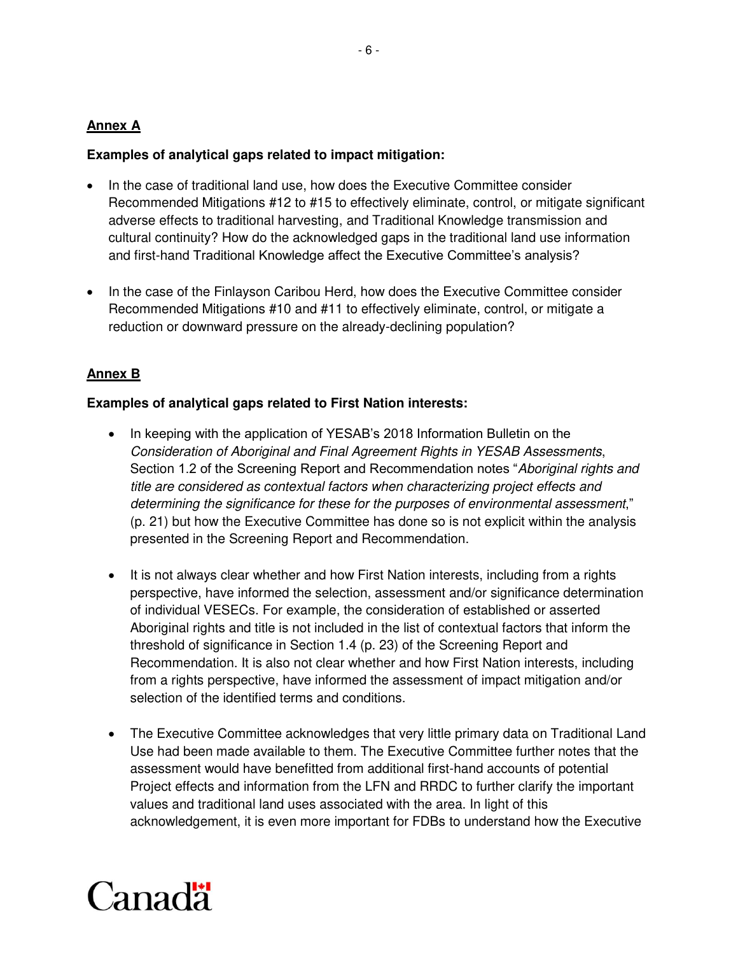### **Annex A**

### **Examples of analytical gaps related to impact mitigation:**

- In the case of traditional land use, how does the Executive Committee consider Recommended Mitigations #12 to #15 to effectively eliminate, control, or mitigate significant adverse effects to traditional harvesting, and Traditional Knowledge transmission and cultural continuity? How do the acknowledged gaps in the traditional land use information and first-hand Traditional Knowledge affect the Executive Committee's analysis?
- In the case of the Finlayson Caribou Herd, how does the Executive Committee consider Recommended Mitigations #10 and #11 to effectively eliminate, control, or mitigate a reduction or downward pressure on the already-declining population?

## **Annex B**

#### **Examples of analytical gaps related to First Nation interests:**

- In keeping with the application of YESAB's 2018 Information Bulletin on the *Consideration of Aboriginal and Final Agreement Rights in YESAB Assessments*, Section 1.2 of the Screening Report and Recommendation notes "*Aboriginal rights and title are considered as contextual factors when characterizing project effects and determining the significance for these for the purposes of environmental assessment*," (p. 21) but how the Executive Committee has done so is not explicit within the analysis presented in the Screening Report and Recommendation.
- It is not always clear whether and how First Nation interests, including from a rights perspective, have informed the selection, assessment and/or significance determination of individual VESECs. For example, the consideration of established or asserted Aboriginal rights and title is not included in the list of contextual factors that inform the threshold of significance in Section 1.4 (p. 23) of the Screening Report and Recommendation. It is also not clear whether and how First Nation interests, including from a rights perspective, have informed the assessment of impact mitigation and/or selection of the identified terms and conditions.
- The Executive Committee acknowledges that very little primary data on Traditional Land Use had been made available to them. The Executive Committee further notes that the assessment would have benefitted from additional first-hand accounts of potential Project effects and information from the LFN and RRDC to further clarify the important values and traditional land uses associated with the area. In light of this acknowledgement, it is even more important for FDBs to understand how the Executive